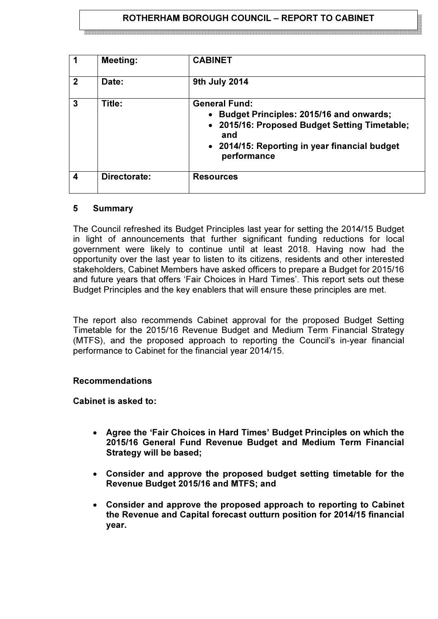## ROTHERHAM BOROUGH COUNCIL – REPORT TO CABINET

|                  | <b>Meeting:</b> | <b>CABINET</b>                                                                                                                                                                            |
|------------------|-----------------|-------------------------------------------------------------------------------------------------------------------------------------------------------------------------------------------|
| $\overline{2}$   | Date:           | 9th July 2014                                                                                                                                                                             |
| $\overline{3}$   | Title:          | <b>General Fund:</b><br>• Budget Principles: 2015/16 and onwards;<br>• 2015/16: Proposed Budget Setting Timetable;<br>and<br>• 2014/15: Reporting in year financial budget<br>performance |
| $\boldsymbol{4}$ | Directorate:    | <b>Resources</b>                                                                                                                                                                          |

#### 5 Summary

The Council refreshed its Budget Principles last year for setting the 2014/15 Budget in light of announcements that further significant funding reductions for local government were likely to continue until at least 2018. Having now had the opportunity over the last year to listen to its citizens, residents and other interested stakeholders, Cabinet Members have asked officers to prepare a Budget for 2015/16 and future years that offers 'Fair Choices in Hard Times'. This report sets out these Budget Principles and the key enablers that will ensure these principles are met.

The report also recommends Cabinet approval for the proposed Budget Setting Timetable for the 2015/16 Revenue Budget and Medium Term Financial Strategy (MTFS), and the proposed approach to reporting the Council's in-year financial performance to Cabinet for the financial year 2014/15.

#### Recommendations

Cabinet is asked to:

- Agree the 'Fair Choices in Hard Times' Budget Principles on which the 2015/16 General Fund Revenue Budget and Medium Term Financial Strategy will be based;
- Consider and approve the proposed budget setting timetable for the Revenue Budget 2015/16 and MTFS; and
- Consider and approve the proposed approach to reporting to Cabinet the Revenue and Capital forecast outturn position for 2014/15 financial year.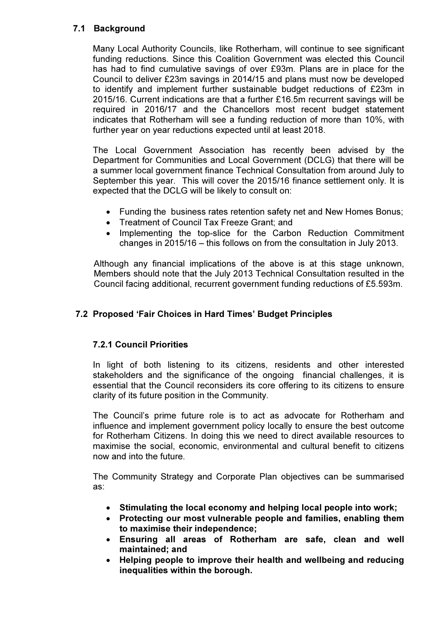# 7.1 Background

Many Local Authority Councils, like Rotherham, will continue to see significant funding reductions. Since this Coalition Government was elected this Council has had to find cumulative savings of over £93m. Plans are in place for the Council to deliver £23m savings in 2014/15 and plans must now be developed to identify and implement further sustainable budget reductions of £23m in 2015/16. Current indications are that a further £16.5m recurrent savings will be required in 2016/17 and the Chancellors most recent budget statement indicates that Rotherham will see a funding reduction of more than 10%, with further year on year reductions expected until at least 2018.

The Local Government Association has recently been advised by the Department for Communities and Local Government (DCLG) that there will be a summer local government finance Technical Consultation from around July to September this year. This will cover the 2015/16 finance settlement only. It is expected that the DCLG will be likely to consult on:

- Funding the business rates retention safety net and New Homes Bonus;
- Treatment of Council Tax Freeze Grant; and
- Implementing the top-slice for the Carbon Reduction Commitment changes in 2015/16 – this follows on from the consultation in July 2013.

Although any financial implications of the above is at this stage unknown, Members should note that the July 2013 Technical Consultation resulted in the Council facing additional, recurrent government funding reductions of £5.593m.

# 7.2 Proposed 'Fair Choices in Hard Times' Budget Principles

# 7.2.1 Council Priorities

 In light of both listening to its citizens, residents and other interested stakeholders and the significance of the ongoing financial challenges, it is essential that the Council reconsiders its core offering to its citizens to ensure clarity of its future position in the Community.

 The Council's prime future role is to act as advocate for Rotherham and influence and implement government policy locally to ensure the best outcome for Rotherham Citizens. In doing this we need to direct available resources to maximise the social, economic, environmental and cultural benefit to citizens now and into the future.

 The Community Strategy and Corporate Plan objectives can be summarised as:

- Stimulating the local economy and helping local people into work;
- Protecting our most vulnerable people and families, enabling them to maximise their independence;
- Ensuring all areas of Rotherham are safe, clean and well maintained; and
- Helping people to improve their health and wellbeing and reducing inequalities within the borough.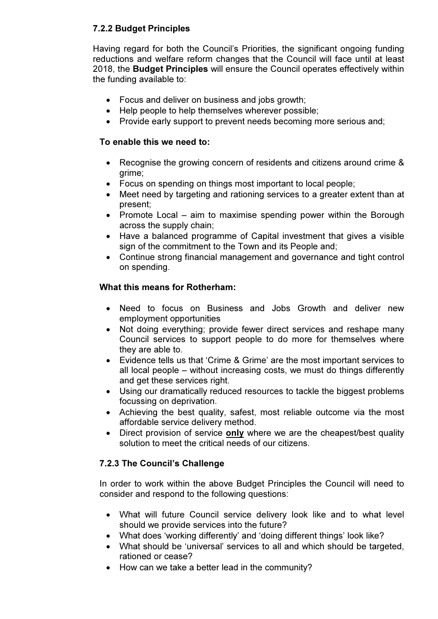# 7.2.2 Budget Principles

 Having regard for both the Council's Priorities, the significant ongoing funding reductions and welfare reform changes that the Council will face until at least 2018, the Budget Principles will ensure the Council operates effectively within the funding available to:

- Focus and deliver on business and jobs growth;
- Help people to help themselves wherever possible;
- Provide early support to prevent needs becoming more serious and;

## To enable this we need to:

- Recognise the growing concern of residents and citizens around crime & grime;
- Focus on spending on things most important to local people;
- Meet need by targeting and rationing services to a greater extent than at present;
- Promote Local aim to maximise spending power within the Borough across the supply chain;
- Have a balanced programme of Capital investment that gives a visible sign of the commitment to the Town and its People and;
- Continue strong financial management and governance and tight control on spending.

# What this means for Rotherham:

- Need to focus on Business and Jobs Growth and deliver new employment opportunities
- Not doing everything; provide fewer direct services and reshape many Council services to support people to do more for themselves where they are able to.
- Evidence tells us that 'Crime & Grime' are the most important services to all local people – without increasing costs, we must do things differently and get these services right.
- Using our dramatically reduced resources to tackle the biggest problems focussing on deprivation.
- Achieving the best quality, safest, most reliable outcome via the most affordable service delivery method.
- Direct provision of service only where we are the cheapest/best quality solution to meet the critical needs of our citizens.

# 7.2.3 The Council's Challenge

 In order to work within the above Budget Principles the Council will need to consider and respond to the following questions:

- What will future Council service delivery look like and to what level should we provide services into the future?
- What does 'working differently' and 'doing different things' look like?
- What should be 'universal' services to all and which should be targeted, rationed or cease?
- How can we take a better lead in the community?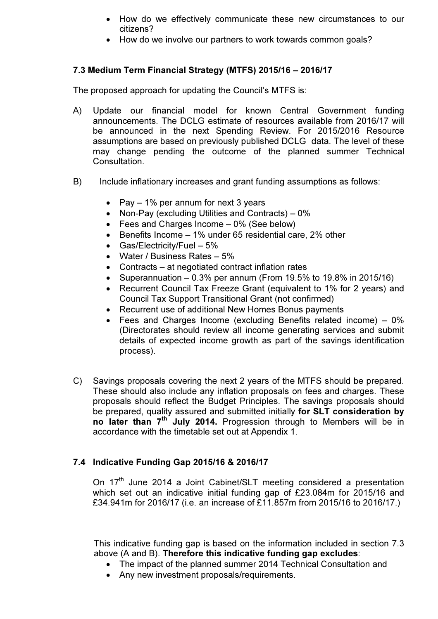- How do we effectively communicate these new circumstances to our citizens?
- How do we involve our partners to work towards common goals?

# 7.3 Medium Term Financial Strategy (MTFS) 2015/16 – 2016/17

The proposed approach for updating the Council's MTFS is:

- A) Update our financial model for known Central Government funding announcements. The DCLG estimate of resources available from 2016/17 will be announced in the next Spending Review. For 2015/2016 Resource assumptions are based on previously published DCLG data. The level of these may change pending the outcome of the planned summer Technical Consultation.
- B) Include inflationary increases and grant funding assumptions as follows:
	- Pay  $-1\%$  per annum for next 3 years
	- Non-Pay (excluding Utilities and Contracts) 0%
	- Fees and Charges Income 0% (See below)
	- Benefits Income 1% under 65 residential care, 2% other
	- Gas/Electricity/Fuel 5%
	- Water / Business Rates 5%
	- Contracts at negotiated contract inflation rates
	- Superannuation  $-0.3\%$  per annum (From 19.5% to 19.8% in 2015/16)
	- Recurrent Council Tax Freeze Grant (equivalent to 1% for 2 years) and Council Tax Support Transitional Grant (not confirmed)
	- Recurrent use of additional New Homes Bonus payments
	- Fees and Charges Income (excluding Benefits related income) 0% (Directorates should review all income generating services and submit details of expected income growth as part of the savings identification process).
- C) Savings proposals covering the next 2 years of the MTFS should be prepared. These should also include any inflation proposals on fees and charges. These proposals should reflect the Budget Principles. The savings proposals should be prepared, quality assured and submitted initially for SLT consideration by no later than 7<sup>th</sup> July 2014. Progression through to Members will be in accordance with the timetable set out at Appendix 1.

# 7.4 Indicative Funding Gap 2015/16 & 2016/17

On 17<sup>th</sup> June 2014 a Joint Cabinet/SLT meeting considered a presentation which set out an indicative initial funding gap of £23.084m for 2015/16 and £34.941m for 2016/17 (i.e. an increase of £11.857m from 2015/16 to 2016/17.)

This indicative funding gap is based on the information included in section 7.3 above (A and B). Therefore this indicative funding gap excludes:

- The impact of the planned summer 2014 Technical Consultation and
- Any new investment proposals/requirements.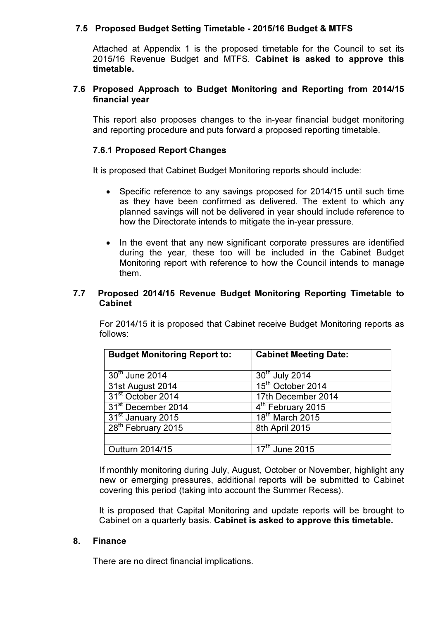## 7.5 Proposed Budget Setting Timetable - 2015/16 Budget & MTFS

Attached at Appendix 1 is the proposed timetable for the Council to set its 2015/16 Revenue Budget and MTFS. Cabinet is asked to approve this timetable.

#### 7.6 Proposed Approach to Budget Monitoring and Reporting from 2014/15 financial year

This report also proposes changes to the in-year financial budget monitoring and reporting procedure and puts forward a proposed reporting timetable.

## 7.6.1 Proposed Report Changes

It is proposed that Cabinet Budget Monitoring reports should include:

- Specific reference to any savings proposed for 2014/15 until such time as they have been confirmed as delivered. The extent to which any planned savings will not be delivered in year should include reference to how the Directorate intends to mitigate the in-year pressure.
- In the event that any new significant corporate pressures are identified during the year, these too will be included in the Cabinet Budget Monitoring report with reference to how the Council intends to manage them.

#### 7.7 Proposed 2014/15 Revenue Budget Monitoring Reporting Timetable to Cabinet

 For 2014/15 it is proposed that Cabinet receive Budget Monitoring reports as follows:

| <b>Budget Monitoring Report to:</b> | <b>Cabinet Meeting Date:</b>            |
|-------------------------------------|-----------------------------------------|
|                                     |                                         |
| $30th$ June 2014                    | 30th July 2014                          |
| 31st August 2014                    | 15 <sup>th</sup> October 2014           |
| 31 <sup>st</sup> October 2014       | 17th December 2014                      |
| 31 <sup>st</sup> December 2014      | 4 <sup>th</sup> February 2015           |
| 31 <sup>st</sup> January 2015       | 18 <sup>th</sup> March 2015             |
| 28 <sup>th</sup> February 2015      | 8th April 2015                          |
|                                     |                                         |
| Outturn 2014/15                     | $\overline{17}$ <sup>th</sup> June 2015 |

 If monthly monitoring during July, August, October or November, highlight any new or emerging pressures, additional reports will be submitted to Cabinet covering this period (taking into account the Summer Recess).

It is proposed that Capital Monitoring and update reports will be brought to Cabinet on a quarterly basis. Cabinet is asked to approve this timetable.

#### 8. Finance

There are no direct financial implications.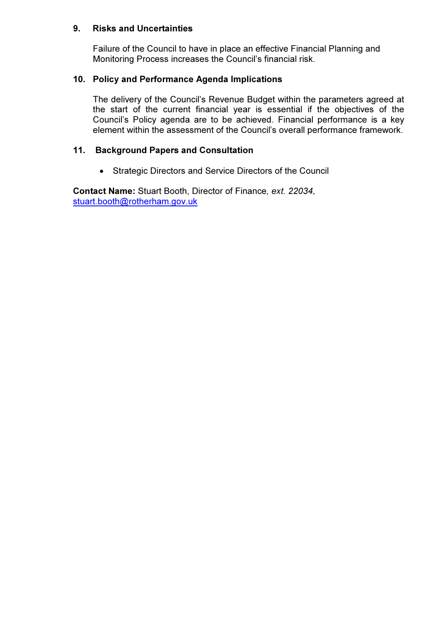## 9. Risks and Uncertainties

Failure of the Council to have in place an effective Financial Planning and Monitoring Process increases the Council's financial risk.

## 10. Policy and Performance Agenda Implications

The delivery of the Council's Revenue Budget within the parameters agreed at the start of the current financial year is essential if the objectives of the Council's Policy agenda are to be achieved. Financial performance is a key element within the assessment of the Council's overall performance framework.

## 11. Background Papers and Consultation

• Strategic Directors and Service Directors of the Council

Contact Name: Stuart Booth, Director of Finance, ext. 22034, stuart.booth@rotherham.gov.uk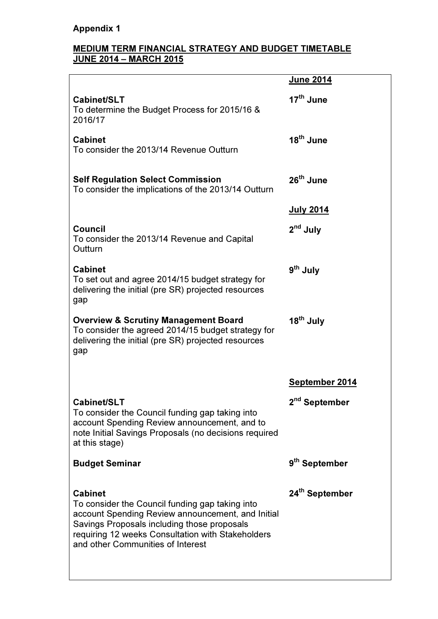# Appendix 1

#### MEDIUM TERM FINANCIAL STRATEGY AND BUDGET TIMETABLE JUNE 2014 – MARCH 2015

|                                                                                                                                                                                                                                                                 | <b>June 2014</b>           |
|-----------------------------------------------------------------------------------------------------------------------------------------------------------------------------------------------------------------------------------------------------------------|----------------------------|
| Cabinet/SLT<br>To determine the Budget Process for 2015/16 &<br>2016/17                                                                                                                                                                                         | 17 <sup>th</sup> June      |
| <b>Cabinet</b><br>To consider the 2013/14 Revenue Outturn                                                                                                                                                                                                       | 18 <sup>th</sup> June      |
| <b>Self Regulation Select Commission</b><br>To consider the implications of the 2013/14 Outturn                                                                                                                                                                 | 26 <sup>th</sup> June      |
|                                                                                                                                                                                                                                                                 | <b>July 2014</b>           |
| <b>Council</b><br>To consider the 2013/14 Revenue and Capital<br>Outturn                                                                                                                                                                                        | 2 <sup>nd</sup> July       |
| <b>Cabinet</b><br>To set out and agree 2014/15 budget strategy for<br>delivering the initial (pre SR) projected resources<br>gap                                                                                                                                | 9 <sup>th</sup> July       |
| <b>Overview &amp; Scrutiny Management Board</b><br>To consider the agreed 2014/15 budget strategy for<br>delivering the initial (pre SR) projected resources<br>gap                                                                                             | 18 <sup>th</sup> July      |
|                                                                                                                                                                                                                                                                 | September 2014             |
| Cabinet/SLT<br>To consider the Council funding gap taking into<br>account Spending Review announcement, and to<br>note Initial Savings Proposals (no decisions required<br>at this stage)                                                                       | 2 <sup>nd</sup> September  |
| <b>Budget Seminar</b>                                                                                                                                                                                                                                           | 9 <sup>th</sup> September  |
| <b>Cabinet</b><br>To consider the Council funding gap taking into<br>account Spending Review announcement, and Initial<br>Savings Proposals including those proposals<br>requiring 12 weeks Consultation with Stakeholders<br>and other Communities of Interest | 24 <sup>th</sup> September |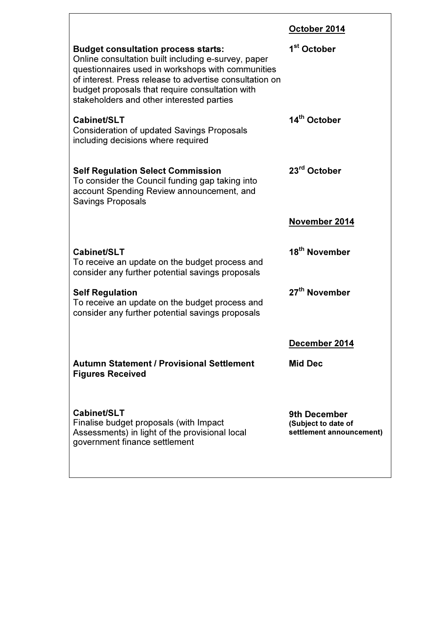| October 2014 |
|--------------|
|--------------|

| <b>Budget consultation process starts:</b><br>Online consultation built including e-survey, paper<br>questionnaires used in workshops with communities<br>of interest. Press release to advertise consultation on<br>budget proposals that require consultation with<br>stakeholders and other interested parties | 1 <sup>st</sup> October                                                |
|-------------------------------------------------------------------------------------------------------------------------------------------------------------------------------------------------------------------------------------------------------------------------------------------------------------------|------------------------------------------------------------------------|
| Cabinet/SLT<br><b>Consideration of updated Savings Proposals</b><br>including decisions where required                                                                                                                                                                                                            | 14 <sup>th</sup> October                                               |
| <b>Self Regulation Select Commission</b><br>To consider the Council funding gap taking into<br>account Spending Review announcement, and<br><b>Savings Proposals</b>                                                                                                                                              | 23 <sup>rd</sup> October                                               |
|                                                                                                                                                                                                                                                                                                                   | November 2014                                                          |
| Cabinet/SLT<br>To receive an update on the budget process and<br>consider any further potential savings proposals                                                                                                                                                                                                 | 18 <sup>th</sup> November                                              |
| <b>Self Regulation</b><br>To receive an update on the budget process and<br>consider any further potential savings proposals                                                                                                                                                                                      | 27 <sup>th</sup> November                                              |
|                                                                                                                                                                                                                                                                                                                   | December 2014                                                          |
| Autumn Statement / Provisional Settlement<br><b>Figures Received</b>                                                                                                                                                                                                                                              | Mid Dec                                                                |
| Cabinet/SLT<br>Finalise budget proposals (with Impact<br>Assessments) in light of the provisional local<br>government finance settlement                                                                                                                                                                          | <b>9th December</b><br>(Subject to date of<br>settlement announcement) |